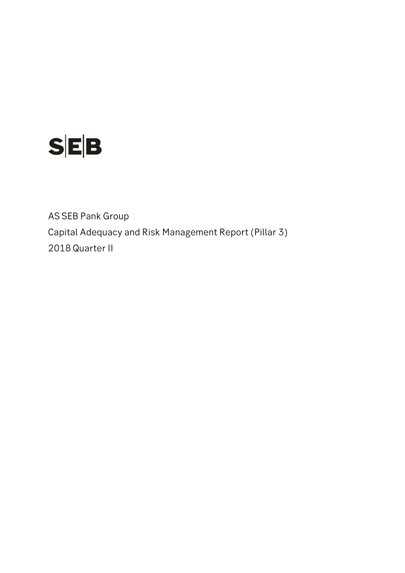

AS SEB Pank Group Capital Adequacy and Risk Management Report (Pillar 3) 2018 Quarter II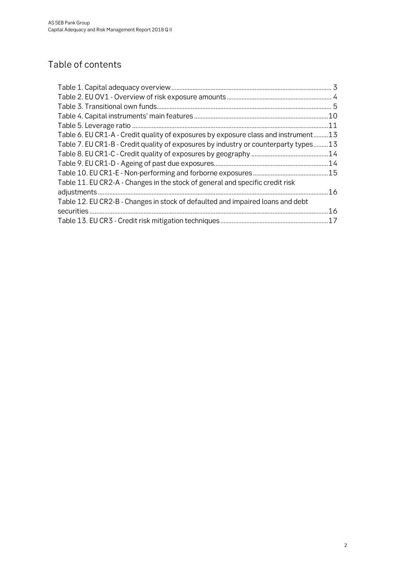# Table of contents

|                                                                                     | .11 |
|-------------------------------------------------------------------------------------|-----|
| Table 6. EU CR1-A - Credit quality of exposures by exposure class and instrument13  |     |
| Table 7. EU CR1-B - Credit quality of exposures by industry or counterparty types13 |     |
|                                                                                     |     |
|                                                                                     |     |
|                                                                                     |     |
| Table 11. EU CR2-A - Changes in the stock of general and specific credit risk       |     |
|                                                                                     | .16 |
| Table 12. EU CR2-B - Changes in stock of defaulted and impaired loans and debt      |     |
|                                                                                     | .16 |
|                                                                                     |     |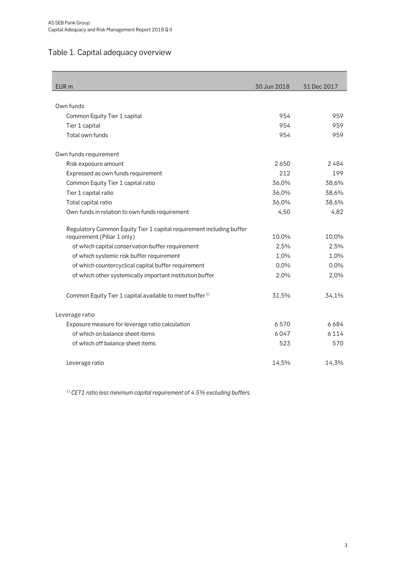# <span id="page-2-0"></span>Table 1. Capital adequacy overview

| EUR <sub>m</sub>                                                     | 30 Jun 2018 | 31 Dec 2017 |
|----------------------------------------------------------------------|-------------|-------------|
|                                                                      |             |             |
| Own funds                                                            |             |             |
| Common Equity Tier 1 capital                                         | 954         | 959         |
| Tier 1 capital                                                       | 954         | 959         |
| Total own funds                                                      | 954         | 959         |
| Own funds requirement                                                |             |             |
| Risk exposure amount                                                 | 2650        | 2484        |
| Expressed as own funds requirement                                   | 212         | 199         |
| Common Equity Tier 1 capital ratio                                   | 36,0%       | 38,6%       |
| Tier 1 capital ratio                                                 | 36,0%       | 38,6%       |
| Total capital ratio                                                  | 36,0%       | 38,6%       |
| Own funds in relation to own funds requirement                       | 4,50        | 4,82        |
| Regulatory Common Equity Tier 1 capital requirement including buffer |             |             |
| requirement (Pillar 1 only)                                          | 10,0%       | 10,0%       |
| of which capital conservation buffer requirement                     | 2,5%        | 2,5%        |
| of which systemic risk buffer requirement                            | 1,0%        | 1,0%        |
| of which countercyclical capital buffer requirement                  | 0,0%        | 0,0%        |
| of which other systemically important institution buffer             | 2,0%        | 2,0%        |
| Common Equity Tier 1 capital available to meet buffer <sup>1)</sup>  | 31,5%       | 34,1%       |
| Leverage ratio                                                       |             |             |
| Exposure measure for leverage ratio calculation                      | 6570        | 6684        |
| of which on balance sheet items                                      | 6047        | 6 1 1 4     |
| of which off balance sheet items                                     | 523         | 570         |
| Leverage ratio                                                       | 14,5%       | 14,3%       |

*1) CET1 ratio less minimum capital requirement of 4.5% excluding buffers.*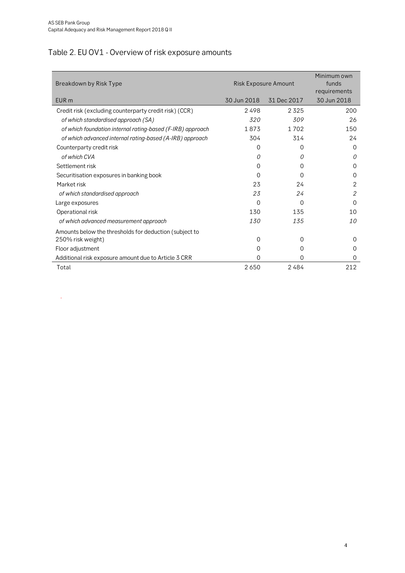.

# <span id="page-3-0"></span>Table 2. EU OV1 - Overview of risk exposure amounts

| Breakdown by Risk Type                                     | Risk Exposure Amount |             | Minimum own<br>funds<br>requirements |
|------------------------------------------------------------|----------------------|-------------|--------------------------------------|
| EUR <sub>m</sub>                                           | 30 Jun 2018          | 31 Dec 2017 | 30 Jun 2018                          |
| Credit risk (excluding counterparty credit risk) (CCR)     | 2498                 | 2325        | 200                                  |
| of which standardised approach (SA)                        | 320                  | 309         | 26                                   |
| of which foundation internal rating-based (F-IRB) approach | 1873                 | 1 7 0 2     | 150                                  |
| of which advanced internal rating-based (A-IRB) approach   | 304                  | 314         | 24                                   |
| Counterparty credit risk                                   | 0                    | $\Omega$    | $\Omega$                             |
| of which CVA                                               | 0                    | 0           | 0                                    |
| Settlement risk                                            | 0                    | 0           | $\Omega$                             |
| Securitisation exposures in banking book                   | 0                    | 0           | $\Omega$                             |
| Market risk                                                | 23                   | 24          | 2                                    |
| of which standardised approach                             | 23                   | 24          | 2                                    |
| Large exposures                                            | 0                    | $\Omega$    | $\Omega$                             |
| Operational risk                                           | 130                  | 135         | 10                                   |
| of which advanced measurement approach                     | 130                  | 135         | 10                                   |
| Amounts below the thresholds for deduction (subject to     |                      |             |                                      |
| 250% risk weight)                                          | 0                    | $\Omega$    | $\Omega$                             |
| Floor adjustment                                           | 0                    | $\Omega$    | 0                                    |
| Additional risk exposure amount due to Article 3 CRR       | 0                    | 0           | 0                                    |
| Total                                                      | 2650                 | 2484        | 212                                  |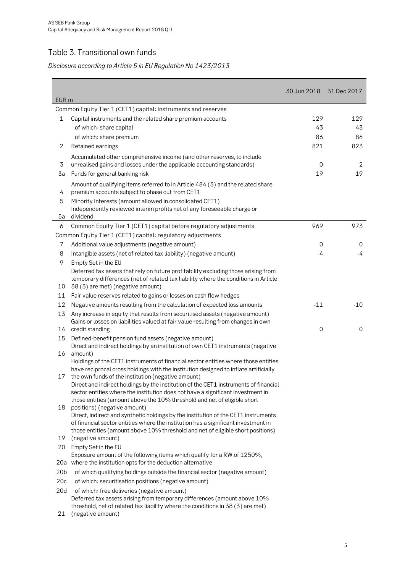## <span id="page-4-0"></span>Table 3. Transitional own funds

## *Disclosure according to Article 5 in EU Regulation No 1423/2013*

| EUR <sub>m</sub> |                                                                                                                                                             | 30 Jun 2018 | 31 Dec 2017 |
|------------------|-------------------------------------------------------------------------------------------------------------------------------------------------------------|-------------|-------------|
|                  | Common Equity Tier 1 (CET1) capital: instruments and reserves                                                                                               |             |             |
| 1                | Capital instruments and the related share premium accounts                                                                                                  | 129         | 129         |
|                  | of which: share capital                                                                                                                                     | 43          | 43          |
|                  | of which: share premium                                                                                                                                     | 86          | 86          |
| 2                | Retained earnings                                                                                                                                           | 821         | 823         |
|                  | Accumulated other comprehensive income (and other reserves, to include                                                                                      |             |             |
| 3                | unrealised gains and losses under the applicable accounting standards)                                                                                      | $\mathbf 0$ | 2           |
| 3a               | Funds for general banking risk                                                                                                                              | 19          | 19          |
|                  | Amount of qualifying items referred to in Article 484 (3) and the related share                                                                             |             |             |
| 4                | premium accounts subject to phase out from CET1                                                                                                             |             |             |
| 5                | Minority Interests (amount allowed in consolidated CET1)                                                                                                    |             |             |
|                  | Independently reviewed interim profits net of any foreseeable charge or                                                                                     |             |             |
| 5a               | dividend                                                                                                                                                    |             |             |
| 6                | Common Equity Tier 1 (CET1) capital before regulatory adjustments                                                                                           | 969         | 973         |
|                  | Common Equity Tier 1 (CET1) capital: regulatory adjustments                                                                                                 |             |             |
| 7                | Additional value adjustments (negative amount)                                                                                                              | 0           | 0           |
| 8                | Intangible assets (net of related tax liability) (negative amount)                                                                                          | -4          | $-4$        |
| 9                | Empty Set in the EU                                                                                                                                         |             |             |
|                  | Deferred tax assets that rely on future profitability excluding those arising from                                                                          |             |             |
|                  | temporary differences (net of related tax liability where the conditions in Article                                                                         |             |             |
| 10               | 38 (3) are met) (negative amount)                                                                                                                           |             |             |
| 11               | Fair value reserves related to gains or losses on cash flow hedges                                                                                          |             |             |
| 12               | Negative amounts resulting from the calculation of expected loss amounts                                                                                    | $-11$       | $-10$       |
| 13               | Any increase in equity that results from securitised assets (negative amount)                                                                               |             |             |
|                  | Gains or losses on liabilities valued at fair value resulting from changes in own                                                                           | 0           | $\mathbf 0$ |
| 14               | credit standing                                                                                                                                             |             |             |
| 15               | Defined-benefit pension fund assets (negative amount)<br>Direct and indirect holdings by an institution of own CET1 instruments (negative                   |             |             |
| 16               | amount)                                                                                                                                                     |             |             |
|                  | Holdings of the CET1 instruments of financial sector entities where those entities                                                                          |             |             |
|                  | have reciprocal cross holdings with the institution designed to inflate artificially                                                                        |             |             |
| 17               | the own funds of the institution (negative amount)                                                                                                          |             |             |
|                  | Direct and indirect holdings by the institution of the CET1 instruments of financial                                                                        |             |             |
|                  | sector entities where the institution does not have a significant investment in<br>those entities (amount above the 10% threshold and net of eligible short |             |             |
| 18               | positions) (negative amount)                                                                                                                                |             |             |
|                  | Direct, indirect and synthetic holdings by the institution of the CET1 instruments                                                                          |             |             |
|                  | of financial sector entities where the institution has a significant investment in                                                                          |             |             |
|                  | those entities (amount above 10% threshold and net of eligible short positions)                                                                             |             |             |
| 19               | (negative amount)                                                                                                                                           |             |             |
| 20               | Empty Set in the EU<br>Exposure amount of the following items which qualify for a RW of 1250%,                                                              |             |             |
|                  | 20a where the institution opts for the deduction alternative                                                                                                |             |             |
| 20 <sub>b</sub>  | of which qualifying holdings outside the financial sector (negative amount)                                                                                 |             |             |
| 20c              | of which: securitisation positions (negative amount)                                                                                                        |             |             |
| 20d              | of which: free deliveries (negative amount)                                                                                                                 |             |             |
|                  | Deferred tax assets arising from temporary differences (amount above 10%                                                                                    |             |             |
|                  | threshold, net of related tax liability where the conditions in 38 (3) are met)                                                                             |             |             |
| 21               | (negative amount)                                                                                                                                           |             |             |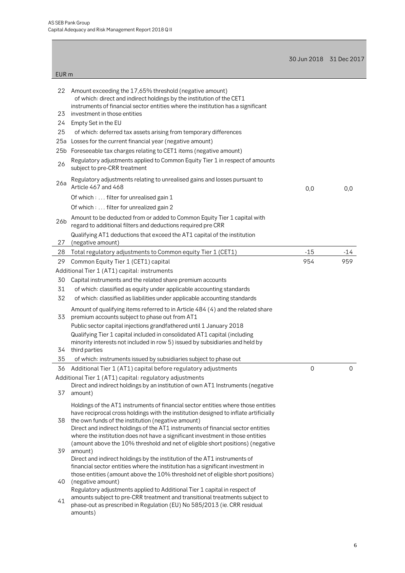|                  |                                                                                                                                                                                                                                                                                                                     | 30 Jun 2018 31 Dec 2017 |       |
|------------------|---------------------------------------------------------------------------------------------------------------------------------------------------------------------------------------------------------------------------------------------------------------------------------------------------------------------|-------------------------|-------|
| EUR <sub>m</sub> |                                                                                                                                                                                                                                                                                                                     |                         |       |
| 22               | Amount exceeding the 17,65% threshold (negative amount)<br>of which: direct and indirect holdings by the institution of the CET1<br>instruments of financial sector entities where the institution has a significant                                                                                                |                         |       |
| 23               | investment in those entities                                                                                                                                                                                                                                                                                        |                         |       |
| 24               | Empty Set in the EU                                                                                                                                                                                                                                                                                                 |                         |       |
| 25               | of which: deferred tax assets arising from temporary differences                                                                                                                                                                                                                                                    |                         |       |
| 25a              | Losses for the current financial year (negative amount)                                                                                                                                                                                                                                                             |                         |       |
|                  | 25b Foreseeable tax charges relating to CET1 items (negative amount)                                                                                                                                                                                                                                                |                         |       |
| 26               | Regulatory adjustments applied to Common Equity Tier 1 in respect of amounts<br>subject to pre-CRR treatment                                                                                                                                                                                                        |                         |       |
| 26a              | Regulatory adjustments relating to unrealised gains and losses pursuant to<br>Article 467 and 468                                                                                                                                                                                                                   | 0,0                     | 0,0   |
|                  | Of which:  filter for unrealised gain 1                                                                                                                                                                                                                                                                             |                         |       |
|                  | Of which:  filter for unrealized gain 2                                                                                                                                                                                                                                                                             |                         |       |
| 26b              | Amount to be deducted from or added to Common Equity Tier 1 capital with<br>regard to additional filters and deductions required pre CRR                                                                                                                                                                            |                         |       |
| 27               | Qualifying AT1 deductions that exceed the AT1 capital of the institution<br>(negative amount)                                                                                                                                                                                                                       |                         |       |
| 28               | Total regulatory adjustments to Common equity Tier 1 (CET1)                                                                                                                                                                                                                                                         | $-15$                   | $-14$ |
| 29               | Common Equity Tier 1 (CET1) capital                                                                                                                                                                                                                                                                                 | 954                     | 959   |
|                  | Additional Tier 1 (AT1) capital: instruments                                                                                                                                                                                                                                                                        |                         |       |
| 30               | Capital instruments and the related share premium accounts                                                                                                                                                                                                                                                          |                         |       |
| 31               | of which: classified as equity under applicable accounting standards                                                                                                                                                                                                                                                |                         |       |
| 32               | of which: classified as liabilities under applicable accounting standards                                                                                                                                                                                                                                           |                         |       |
| 33               | Amount of qualifying items referred to in Article 484 (4) and the related share<br>premium accounts subject to phase out from AT1                                                                                                                                                                                   |                         |       |
|                  | Public sector capital injections grandfathered until 1 January 2018<br>Qualifying Tier 1 capital included in consolidated AT1 capital (including<br>minority interests not included in row 5) issued by subsidiaries and held by                                                                                    |                         |       |
|                  | 34 third parties                                                                                                                                                                                                                                                                                                    |                         |       |
| 35               | of which: instruments issued by subsidiaries subject to phase out                                                                                                                                                                                                                                                   |                         |       |
| 36               | Additional Tier 1 (AT1) capital before regulatory adjustments                                                                                                                                                                                                                                                       | 0                       | 0     |
|                  | Additional Tier 1 (AT1) capital: regulatory adjustments<br>Direct and indirect holdings by an institution of own AT1 Instruments (negative                                                                                                                                                                          |                         |       |
| 37               | amount)                                                                                                                                                                                                                                                                                                             |                         |       |
| 38               | Holdings of the AT1 instruments of financial sector entities where those entities<br>have reciprocal cross holdings with the institution designed to inflate artificially<br>the own funds of the institution (negative amount)<br>Direct and indirect holdings of the AT1 instruments of financial sector entities |                         |       |
| 39               | where the institution does not have a significant investment in those entities<br>(amount above the 10% threshold and net of eligible short positions) (negative<br>amount)                                                                                                                                         |                         |       |
|                  | Direct and indirect holdings by the institution of the AT1 instruments of<br>financial sector entities where the institution has a significant investment in<br>those entities (amount above the 10% threshold net of eligible short positions)                                                                     |                         |       |
| 40               | (negative amount)<br>Regulatory adjustments applied to Additional Tier 1 capital in respect of                                                                                                                                                                                                                      |                         |       |
| 41               | amounts subject to pre-CRR treatment and transitional treatments subject to<br>phase-out as prescribed in Regulation (EU) No 585/2013 (ie. CRR residual<br>amounts)                                                                                                                                                 |                         |       |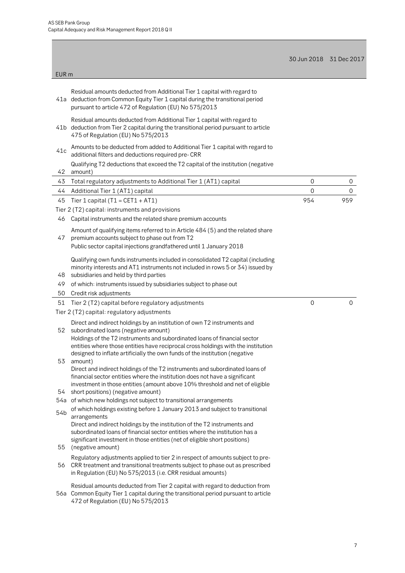472 of Regulation (EU) No 575/2013

| EUR <sub>m</sub> |                                                                                                                                                                                                                                                                                    | 30 Jun 2018 31 Dec 2017 |     |
|------------------|------------------------------------------------------------------------------------------------------------------------------------------------------------------------------------------------------------------------------------------------------------------------------------|-------------------------|-----|
|                  |                                                                                                                                                                                                                                                                                    |                         |     |
|                  | Residual amounts deducted from Additional Tier 1 capital with regard to<br>41a deduction from Common Equity Tier 1 capital during the transitional period<br>pursuant to article 472 of Regulation (EU) No 575/2013                                                                |                         |     |
|                  | Residual amounts deducted from Additional Tier 1 capital with regard to<br>41b deduction from Tier 2 capital during the transitional period pursuant to article<br>475 of Regulation (EU) No 575/2013                                                                              |                         |     |
| 41c              | Amounts to be deducted from added to Additional Tier 1 capital with regard to<br>additional filters and deductions required pre- CRR                                                                                                                                               |                         |     |
| 42               | Qualifying T2 deductions that exceed the T2 capital of the institution (negative<br>amount)                                                                                                                                                                                        |                         |     |
|                  | Total regulatory adjustments to Additional Tier 1 (AT1) capital                                                                                                                                                                                                                    | $\boldsymbol{0}$        | 0   |
| 43               |                                                                                                                                                                                                                                                                                    |                         |     |
| 44               | Additional Tier 1 (AT1) capital                                                                                                                                                                                                                                                    | $\overline{0}$          | 0   |
| 45               | Tier 1 capital ( $T1 = CET1 + AT1$ )                                                                                                                                                                                                                                               | 954                     | 959 |
|                  | Tier 2 (T2) capital: instruments and provisions                                                                                                                                                                                                                                    |                         |     |
| 46               | Capital instruments and the related share premium accounts                                                                                                                                                                                                                         |                         |     |
|                  |                                                                                                                                                                                                                                                                                    |                         |     |
|                  | Amount of qualifying items referred to in Article 484 (5) and the related share                                                                                                                                                                                                    |                         |     |
| 47               | premium accounts subject to phase out from T2                                                                                                                                                                                                                                      |                         |     |
|                  | Public sector capital injections grandfathered until 1 January 2018                                                                                                                                                                                                                |                         |     |
| 48               | Qualifying own funds instruments included in consolidated T2 capital (including<br>minority interests and AT1 instruments not included in rows 5 or 34) issued by<br>subsidiaries and held by third parties                                                                        |                         |     |
| 49               | of which: instruments issued by subsidiaries subject to phase out                                                                                                                                                                                                                  |                         |     |
| 50               | Credit risk adjustments                                                                                                                                                                                                                                                            |                         |     |
|                  |                                                                                                                                                                                                                                                                                    | $\overline{0}$          |     |
| 51               | Tier 2 (T2) capital before regulatory adjustments                                                                                                                                                                                                                                  |                         | 0   |
|                  | Tier 2 (T2) capital: regulatory adjustments                                                                                                                                                                                                                                        |                         |     |
| 52               | Direct and indirect holdings by an institution of own T2 instruments and<br>subordinated loans (negative amount)<br>Holdings of the T2 instruments and subordinated loans of financial sector<br>entities where those entities have reciprocal cross holdings with the institution |                         |     |
|                  | designed to inflate artificially the own funds of the institution (negative                                                                                                                                                                                                        |                         |     |
| 53               | amount)                                                                                                                                                                                                                                                                            |                         |     |
|                  | Direct and indirect holdings of the T2 instruments and subordinated loans of                                                                                                                                                                                                       |                         |     |
|                  | financial sector entities where the institution does not have a significant                                                                                                                                                                                                        |                         |     |
|                  | investment in those entities (amount above 10% threshold and net of eligible                                                                                                                                                                                                       |                         |     |
| 54               | short positions) (negative amount)                                                                                                                                                                                                                                                 |                         |     |
|                  | 54a of which new holdings not subject to transitional arrangements                                                                                                                                                                                                                 |                         |     |
| 54b              | of which holdings existing before 1 January 2013 and subject to transitional                                                                                                                                                                                                       |                         |     |
|                  | arrangements                                                                                                                                                                                                                                                                       |                         |     |
|                  | Direct and indirect holdings by the institution of the T2 instruments and                                                                                                                                                                                                          |                         |     |
|                  | subordinated loans of financial sector entities where the institution has a                                                                                                                                                                                                        |                         |     |
|                  | significant investment in those entities (net of eligible short positions)                                                                                                                                                                                                         |                         |     |
| 55               | (negative amount)                                                                                                                                                                                                                                                                  |                         |     |
|                  | Regulatory adjustments applied to tier 2 in respect of amounts subject to pre-                                                                                                                                                                                                     |                         |     |
| 56               | CRR treatment and transitional treatments subject to phase out as prescribed                                                                                                                                                                                                       |                         |     |
|                  | in Regulation (EU) No 575/2013 (i.e. CRR residual amounts)                                                                                                                                                                                                                         |                         |     |
|                  |                                                                                                                                                                                                                                                                                    |                         |     |
|                  | Residual amounts deducted from Tier 2 capital with regard to deduction from<br>56a Common Equity Tier 1 capital during the transitional period pursuant to article                                                                                                                 |                         |     |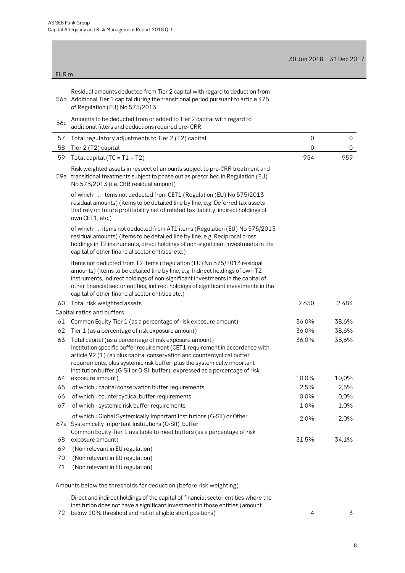$\overline{\phantom{0}}$ 

|       |                                                                                                                                                                                                                                                                                                                                                                                        |             | 30 Jun 2018 31 Dec 2017 |
|-------|----------------------------------------------------------------------------------------------------------------------------------------------------------------------------------------------------------------------------------------------------------------------------------------------------------------------------------------------------------------------------------------|-------------|-------------------------|
| EUR m |                                                                                                                                                                                                                                                                                                                                                                                        |             |                         |
|       |                                                                                                                                                                                                                                                                                                                                                                                        |             |                         |
|       | Residual amounts deducted from Tier 2 capital with regard to deduction from<br>56b Additional Tier 1 capital during the transitional period pursuant to article 475<br>of Regulation (EU) No 575/2013                                                                                                                                                                                  |             |                         |
| 56c   | Amounts to be deducted from or added to Tier 2 capital with regard to<br>additional filters and deductions required pre- CRR                                                                                                                                                                                                                                                           |             |                         |
| 57    | Total regulatory adjustments to Tier 2 (T2) capital                                                                                                                                                                                                                                                                                                                                    | $\mathbf 0$ | 0                       |
| 58    | Tier 2 (T2) capital                                                                                                                                                                                                                                                                                                                                                                    | $\mathbf 0$ | 0                       |
| 59    | Total capital ( $TC = T1 + T2$ )                                                                                                                                                                                                                                                                                                                                                       | 954         | 959                     |
|       | Risk weighted assets in respect of amounts subject to pre-CRR treatment and<br>59a transitional treatments subject to phase out as prescribed in Regulation (EU)<br>No 575/2013 (i.e. CRR residual amount)                                                                                                                                                                             |             |                         |
|       | of which: items not deducted from CET1 (Regulation (EU) No 575/2013<br>residual amounts) (items to be detailed line by line, e.g. Deferred tax assets<br>that rely on future profitability net of related tax liability, indirect holdings of<br>own CET1, etc.)                                                                                                                       |             |                         |
|       | of which:items not deducted from AT1 items (Regulation (EU) No 575/2013<br>residual amounts) (items to be detailed line by line, e.g. Reciprocal cross<br>holdings in T2 instruments, direct holdings of non-significant investments in the<br>capital of other financial sector entities, etc.)                                                                                       |             |                         |
|       | Items not deducted from T2 items (Regulation (EU) No 575/2013 residual<br>amounts) (items to be detailed line by line, e.g. Indirect holdings of own T2<br>instruments, indirect holdings of non-significant investments in the capital of<br>other financial sector entities, indirect holdings of significant investments in the<br>capital of other financial sector entities etc.) |             |                         |
| 60    | Total risk weighted assets                                                                                                                                                                                                                                                                                                                                                             | 2650        | 2484                    |
|       | Capital ratios and buffers                                                                                                                                                                                                                                                                                                                                                             |             |                         |
| 61    | Common Equity Tier 1 (as a percentage of risk exposure amount)                                                                                                                                                                                                                                                                                                                         | 36,0%       | 38,6%                   |
| 62    | Tier 1 (as a percentage of risk exposure amount)                                                                                                                                                                                                                                                                                                                                       | 36,0%       | 38,6%                   |
| 63    | Total capital (as a percentage of risk exposure amount)<br>Institution specific buffer requirement (CET1 requirement in accordance with<br>article 92 (1) (a) plus capital conservation and countercyclical buffer<br>requirements, plus systemic risk buffer, plus the systemically important<br>institution buffer (G-SII or O-SII buffer), expressed as a percentage of risk        | 36,0%       | 38,6%                   |
| 64    | exposure amount)                                                                                                                                                                                                                                                                                                                                                                       | 10,0%       | 10,0%                   |
| 65    | of which: capital conservation buffer requirements                                                                                                                                                                                                                                                                                                                                     | 2,5%        | 2,5%                    |
| 66    | of which: countercyclical buffer requirements                                                                                                                                                                                                                                                                                                                                          | 0,0%        | 0,0%                    |
| 67    | of which: systemic risk buffer requirements                                                                                                                                                                                                                                                                                                                                            | 1,0%        | 1,0%                    |
|       | of which: Global Systemically Important Institutions (G-SII) or Other<br>67a Systemically Important Institutions (O-SII) buffer<br>Common Equity Tier 1 available to meet buffers (as a percentage of risk                                                                                                                                                                             | 2,0%        | 2,0%                    |
| 68    | exposure amount)                                                                                                                                                                                                                                                                                                                                                                       | 31,5%       | 34,1%                   |
| 69    | (Non relevant in EU regulation)                                                                                                                                                                                                                                                                                                                                                        |             |                         |
| 70    | (Non relevant in EU regulation)                                                                                                                                                                                                                                                                                                                                                        |             |                         |
| 71    | (Non relevant in EU regulation)                                                                                                                                                                                                                                                                                                                                                        |             |                         |
|       | Amounts below the thresholds for deduction (before risk weighting)                                                                                                                                                                                                                                                                                                                     |             |                         |

Direct and indirect holdings of the capital of financial sector entities where the institution does not have a significant investment in those entities (amount

72 below 10% threshold and net of eligible short positions) 4 3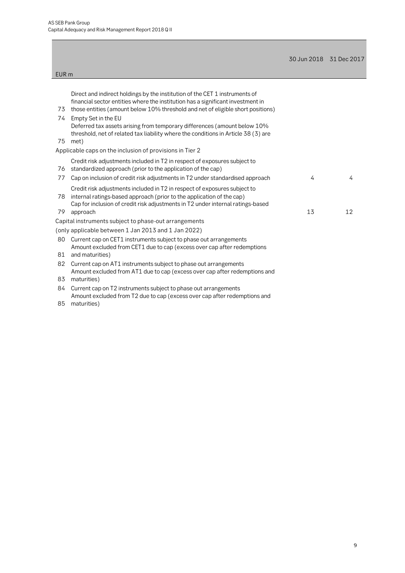|                  |                                                                                                                                                                                                                                                   | 30 Jun 2018 31 Dec 2017 |    |
|------------------|---------------------------------------------------------------------------------------------------------------------------------------------------------------------------------------------------------------------------------------------------|-------------------------|----|
| EUR <sub>m</sub> |                                                                                                                                                                                                                                                   |                         |    |
|                  |                                                                                                                                                                                                                                                   |                         |    |
| 73               | Direct and indirect holdings by the institution of the CET 1 instruments of<br>financial sector entities where the institution has a significant investment in<br>those entities (amount below 10% threshold and net of eligible short positions) |                         |    |
| 74<br>75         | Empty Set in the EU<br>Deferred tax assets arising from temporary differences (amount below 10%<br>threshold, net of related tax liability where the conditions in Article 38 (3) are<br>met)                                                     |                         |    |
|                  | Applicable caps on the inclusion of provisions in Tier 2                                                                                                                                                                                          |                         |    |
| 76               | Credit risk adjustments included in T2 in respect of exposures subject to<br>standardized approach (prior to the application of the cap)                                                                                                          |                         |    |
| 77               | Cap on inclusion of credit risk adjustments in T2 under standardised approach                                                                                                                                                                     | 4                       | 4  |
| 78<br>79         | Credit risk adjustments included in T2 in respect of exposures subject to<br>internal ratings-based approach (prior to the application of the cap)<br>Cap for inclusion of credit risk adjustments in T2 under internal ratings-based<br>approach | 13                      | 12 |
|                  | Capital instruments subject to phase-out arrangements                                                                                                                                                                                             |                         |    |
|                  | (only applicable between 1 Jan 2013 and 1 Jan 2022)                                                                                                                                                                                               |                         |    |
| 80               | Current cap on CET1 instruments subject to phase out arrangements<br>Amount excluded from CET1 due to cap (excess over cap after redemptions                                                                                                      |                         |    |
| 81               | and maturities)                                                                                                                                                                                                                                   |                         |    |
| 82<br>83         | Current cap on AT1 instruments subject to phase out arrangements<br>Amount excluded from AT1 due to cap (excess over cap after redemptions and<br>maturities)                                                                                     |                         |    |
| 84<br>85         | Current cap on T2 instruments subject to phase out arrangements<br>Amount excluded from T2 due to cap (excess over cap after redemptions and<br>maturities)                                                                                       |                         |    |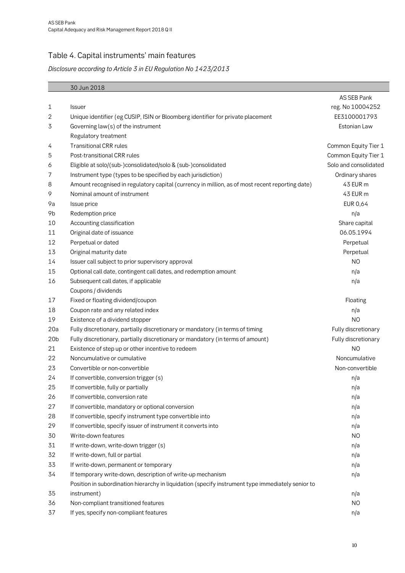## <span id="page-9-0"></span>Table 4. Capital instruments' main features

### *Disclosure according to Article 3 in EU Regulation No 1423/2013*

|                 | 30 Jun 2018                                                                                       |                       |
|-----------------|---------------------------------------------------------------------------------------------------|-----------------------|
|                 |                                                                                                   | AS SEB Pank           |
| 1               | <b>Issuer</b>                                                                                     | reg. No 10004252      |
| 2               | Unique identifier (eg CUSIP, ISIN or Bloomberg identifier for private placement                   | EE3100001793          |
| 3               | Governing law(s) of the instrument                                                                | Estonian Law          |
|                 | Regulatory treatment                                                                              |                       |
| 4               | <b>Transitional CRR rules</b>                                                                     | Common Equity Tier 1  |
| 5               | Post-transitional CRR rules                                                                       | Common Equity Tier 1  |
| 6               | Eligible at solo/(sub-)consolidated/solo & (sub-)consolidated                                     | Solo and consolidated |
| 7               | Instrument type (types to be specified by each jurisdiction)                                      | Ordinary shares       |
| 8               | Amount recognised in regulatory capital (currency in million, as of most recent reporting date)   | 43 EUR m              |
| 9               | Nominal amount of instrument                                                                      | 43 EUR m              |
| 9a              | Issue price                                                                                       | EUR 0,64              |
| 9b              | Redemption price                                                                                  | n/a                   |
| 10              | Accounting classification                                                                         | Share capital         |
| 11              | Original date of issuance                                                                         | 06.05.1994            |
| 12              | Perpetual or dated                                                                                | Perpetual             |
| 13              | Original maturity date                                                                            | Perpetual             |
| 14              | Issuer call subject to prior supervisory approval                                                 | N <sub>O</sub>        |
| 15              | Optional call date, contingent call dates, and redemption amount                                  | n/a                   |
| 16              | Subsequent call dates, if applicable                                                              | n/a                   |
|                 | Coupons / dividends                                                                               |                       |
| 17              | Fixed or floating dividend/coupon                                                                 | Floating              |
| 18              | Coupon rate and any related index                                                                 | n/a                   |
| 19              | Existence of a dividend stopper                                                                   | N <sub>O</sub>        |
| 20a             | Fully discretionary, partially discretionary or mandatory (in terms of timing                     | Fully discretionary   |
| 20 <sub>b</sub> | Fully discretionary, partially discretionary or mandatory (in terms of amount)                    | Fully discretionary   |
| 21              | Existence of step up or other incentive to redeem                                                 | N <sub>O</sub>        |
| 22              | Noncumulative or cumulative                                                                       | Noncumulative         |
| 23              | Convertible or non-convertible                                                                    | Non-convertible       |
| 24              | If convertible, conversion trigger (s)                                                            | n/a                   |
| 25              | If convertible, fully or partially                                                                | n/a                   |
| 26              | If convertible, conversion rate                                                                   | n/a                   |
| 27              | If convertible, mandatory or optional conversion                                                  | n/a                   |
| 28              | If convertible, specify instrument type convertible into                                          | n/a                   |
| 29              | If convertible, specify issuer of instrument it converts into                                     | n/a                   |
| 30              | Write-down features                                                                               | N <sub>O</sub>        |
| 31              | If write-down, write-down trigger (s)                                                             | n/a                   |
| 32              | If write-down, full or partial                                                                    | n/a                   |
| 33              | If write-down, permanent or temporary                                                             | n/a                   |
| 34              | If temporary write-down, description of write-up mechanism                                        | n/a                   |
|                 | Position in subordination hierarchy in liquidation (specify instrument type immediately senior to |                       |
| 35              | instrument)                                                                                       | n/a                   |
| 36              | Non-compliant transitioned features                                                               | N <sub>O</sub>        |
| 37              | If yes, specify non-compliant features                                                            | n/a                   |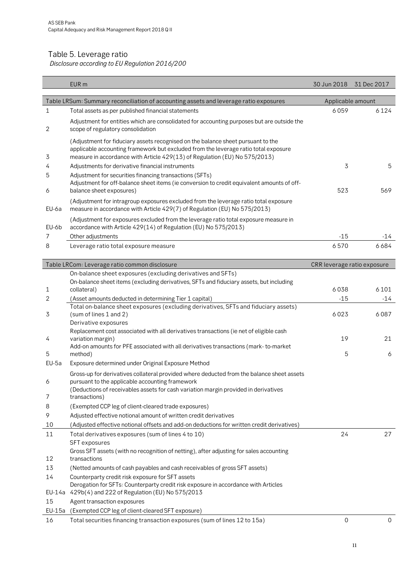#### <span id="page-10-0"></span>Table 5. Leverage ratio

*Disclosure according to EU Regulation 2016/200*

|        | EUR <sub>m</sub>                                                                                                                                                                                                                                      | 30 Jun 2018                 | 31 Dec 2017 |
|--------|-------------------------------------------------------------------------------------------------------------------------------------------------------------------------------------------------------------------------------------------------------|-----------------------------|-------------|
|        | Table LRSum: Summary reconciliation of accounting assets and leverage ratio exposures                                                                                                                                                                 | Applicable amount           |             |
| 1      | Total assets as per published financial statements                                                                                                                                                                                                    | 6059                        | 6124        |
| 2      | Adjustment for entities which are consolidated for accounting purposes but are outside the<br>scope of regulatory consolidation                                                                                                                       |                             |             |
| 3      | (Adjustment for fiduciary assets recognised on the balance sheet pursuant to the<br>applicable accounting framework but excluded from the leverage ratio total exposure<br>measure in accordance with Article 429(13) of Regulation (EU) No 575/2013) |                             |             |
| 4      | Adjustments for derivative financial instruments                                                                                                                                                                                                      | 3                           | 5           |
| 5      | Adjustment for securities financing transactions (SFTs)<br>Adjustment for off-balance sheet items (ie conversion to credit equivalent amounts of off-                                                                                                 |                             |             |
| 6      | balance sheet exposures)                                                                                                                                                                                                                              | 523                         | 569         |
| EU-6a  | (Adjustment for intragroup exposures excluded from the leverage ratio total exposure<br>measure in accordance with Article 429(7) of Regulation (EU) No 575/2013)                                                                                     |                             |             |
| EU-6b  | (Adjustment for exposures excluded from the leverage ratio total exposure measure in<br>accordance with Article 429(14) of Regulation (EU) No 575/2013)                                                                                               |                             |             |
| 7      | Other adjustments                                                                                                                                                                                                                                     | $-15$                       | -14         |
| 8      | Leverage ratio total exposure measure                                                                                                                                                                                                                 | 6570                        | 6684        |
|        |                                                                                                                                                                                                                                                       |                             |             |
|        | Table LRCom: Leverage ratio common disclosure                                                                                                                                                                                                         | CRR leverage ratio exposure |             |
|        | On-balance sheet exposures (excluding derivatives and SFTs)<br>On-balance sheet items (excluding derivatives, SFTs and fiduciary assets, but including                                                                                                |                             |             |
| 1      | collateral)                                                                                                                                                                                                                                           | 6038                        | 6101        |
| 2      | (Asset amounts deducted in determining Tier 1 capital)                                                                                                                                                                                                | $-15$                       | $-14$       |
| 3      | Total on-balance sheet exposures (excluding derivatives, SFTs and fiduciary assets)<br>(sum of lines 1 and 2)                                                                                                                                         | 6023                        | 6087        |
| 4      | Derivative exposures<br>Replacement cost associated with all derivatives transactions (ie net of eligible cash<br>variation margin)                                                                                                                   | 19                          | 21          |
| 5      | Add-on amounts for PFE associated with all derivatives transactions (mark-to-market<br>method)                                                                                                                                                        | 5                           | 6           |
| EU-5a  | Exposure determined under Original Exposure Method                                                                                                                                                                                                    |                             |             |
| 6      | Gross-up for derivatives collateral provided where deducted from the balance sheet assets<br>pursuant to the applicable accounting framework                                                                                                          |                             |             |
| 7      | (Deductions of receivables assets for cash variation margin provided in derivatives<br>transactions)                                                                                                                                                  |                             |             |
| 8      | (Exempted CCP leg of client-cleared trade exposures)                                                                                                                                                                                                  |                             |             |
| 9      | Adjusted effective notional amount of written credit derivatives                                                                                                                                                                                      |                             |             |
| 10     | (Adjusted effective notional offsets and add-on deductions for written credit derivatives)                                                                                                                                                            |                             |             |
| 11     | Total derivatives exposures (sum of lines 4 to 10)<br><b>SFT</b> exposures                                                                                                                                                                            | 24                          | 27          |
| 12     | Gross SFT assets (with no recognition of netting), after adjusting for sales accounting<br>transactions                                                                                                                                               |                             |             |
| 13     | (Netted amounts of cash payables and cash receivables of gross SFT assets)                                                                                                                                                                            |                             |             |
| 14     | Counterparty credit risk exposure for SFT assets<br>Derogation for SFTs: Counterparty credit risk exposure in accordance with Articles                                                                                                                |                             |             |
| EU-14a | 429b(4) and 222 of Regulation (EU) No 575/2013                                                                                                                                                                                                        |                             |             |
| 15     | Agent transaction exposures                                                                                                                                                                                                                           |                             |             |
| EU-15a | (Exempted CCP leg of client-cleared SFT exposure)                                                                                                                                                                                                     |                             |             |
| 16     | Total securities financing transaction exposures (sum of lines 12 to 15a)                                                                                                                                                                             | $\mathbf 0$                 | 0           |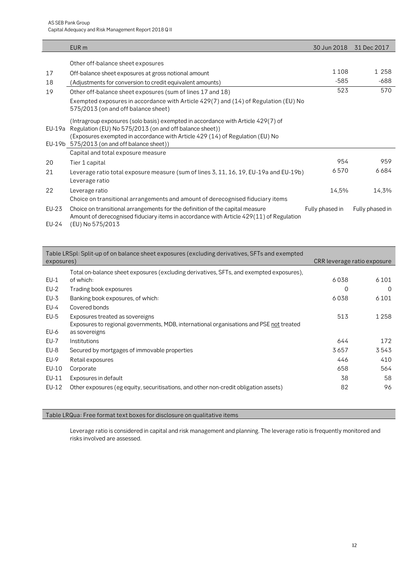|        | EUR <sub>m</sub>                                                                                                                                                                                                                                                            | 30 Jun 2018     | 31 Dec 2017     |
|--------|-----------------------------------------------------------------------------------------------------------------------------------------------------------------------------------------------------------------------------------------------------------------------------|-----------------|-----------------|
|        | Other off-balance sheet exposures                                                                                                                                                                                                                                           |                 |                 |
| 17     | Off-balance sheet exposures at gross notional amount                                                                                                                                                                                                                        | 1108            | 1 258           |
| 18     | (Adjustments for conversion to credit equivalent amounts)                                                                                                                                                                                                                   | $-585$          | -688            |
| 19     | Other off-balance sheet exposures (sum of lines 17 and 18)                                                                                                                                                                                                                  | 523             | 570             |
|        | Exempted exposures in accordance with Article $429(7)$ and (14) of Regulation (EU) No<br>575/2013 (on and off balance sheet)                                                                                                                                                |                 |                 |
| EU-19a | (Intragroup exposures (solo basis) exempted in accordance with Article 429(7) of<br>Regulation (EU) No 575/2013 (on and off balance sheet))<br>(Exposures exempted in accordance with Article 429 (14) of Regulation (EU) No<br>EU-19b 575/2013 (on and off balance sheet)) |                 |                 |
|        | Capital and total exposure measure                                                                                                                                                                                                                                          |                 |                 |
| 20     | Tier 1 capital                                                                                                                                                                                                                                                              | 954             | 959             |
| 21     | Leverage ratio total exposure measure (sum of lines 3, 11, 16, 19, EU-19a and EU-19b)<br>Leverage ratio                                                                                                                                                                     | 6570            | 6684            |
| 22     | Leverage ratio<br>Choice on transitional arrangements and amount of derecognised fiduciary items                                                                                                                                                                            | 14,5%           | 14,3%           |
| EU-23  | Choice on transitional arrangements for the definition of the capital measure<br>Amount of derecognised fiduciary items in accordance with Article 429(11) of Regulation                                                                                                    | Fully phased in | Fully phased in |
| EU-24  | (EU) No 575/2013                                                                                                                                                                                                                                                            |                 |                 |

| exposures) | Table LRSpl: Split-up of on balance sheet exposures (excluding derivatives, SFTs and exempted | CRR leverage ratio exposure |         |
|------------|-----------------------------------------------------------------------------------------------|-----------------------------|---------|
|            |                                                                                               |                             |         |
|            | Total on-balance sheet exposures (excluding derivatives, SFTs, and exempted exposures),       |                             |         |
| $EU-1$     | of which:                                                                                     | 6038                        | 6 1 0 1 |
| $EU-2$     | Trading book exposures                                                                        | 0                           | 0       |
| $EU-3$     | Banking book exposures, of which:                                                             | 6038                        | 6 1 0 1 |
| $EU-4$     | Covered bonds                                                                                 |                             |         |
| $EU-5$     | Exposures treated as sovereigns                                                               | 513                         | 1 2 5 8 |
|            | Exposures to regional governments, MDB, international organisations and PSE not treated       |                             |         |
| EU-6       | as sovereigns                                                                                 |                             |         |
| EU-7       | Institutions                                                                                  | 644                         | 172     |
| $EU-8$     | Secured by mortgages of immovable properties                                                  | 3657                        | 3543    |
| EU-9       | Retail exposures                                                                              | 446                         | 410     |
| EU-10      | Corporate                                                                                     | 658                         | 564     |
| EU-11      | Exposures in default                                                                          | 38                          | 58      |
| EU-12      | Other exposures (eg equity, securitisations, and other non-credit obligation assets)          | 82                          | 96      |
|            |                                                                                               |                             |         |

#### Table LRQua: Free format text boxes for disclosure on qualitative items

Leverage ratio is considered in capital and risk management and planning. The leverage ratio is frequently monitored and risks involved are assessed.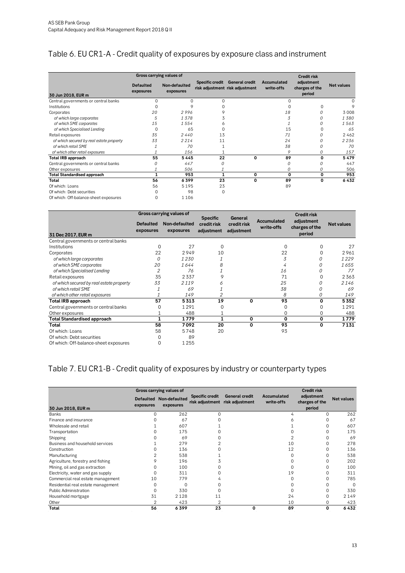## <span id="page-12-0"></span>Table 6. EU CR1-A - Credit quality of exposures by exposure class and instrument

|                                          | Gross carrying values of      |                            |                 |                                                          |                           | <b>Credit risk</b>                     |                   |
|------------------------------------------|-------------------------------|----------------------------|-----------------|----------------------------------------------------------|---------------------------|----------------------------------------|-------------------|
| 30 Jun 2018, EUR m                       | <b>Defaulted</b><br>exposures | Non-defaulted<br>exposures | Specific credit | <b>General credit</b><br>risk adjustment risk adjustment | Accumulated<br>write-offs | adjustment<br>charges of the<br>period | <b>Net values</b> |
| Central governments or central banks     | $\Omega$                      | $\Omega$                   | $\Omega$        |                                                          | $\Omega$                  |                                        |                   |
| Institutions                             | $\Omega$                      |                            | O               |                                                          | $\Omega$                  | 0                                      | 9                 |
| Corporates                               | 20                            | 2996                       | 9               |                                                          | 18                        | 0                                      | 3008              |
| of which large corporates                | 5                             | 1378                       | 3               |                                                          | 3                         | 0                                      | 1380              |
| of which SME corporates                  | 15                            | 1554                       | 6               |                                                          |                           | 0                                      | 1563              |
| of which Specialised Lending             | $\Omega$                      | 65                         | $\Omega$        |                                                          | 15                        | $\Omega$                               | 65                |
| Retail exposures                         | 35                            | 2440                       | 13              |                                                          | 71                        | 0                                      | 2462              |
| of which secured by real estate property | 33                            | 2214                       | 11              |                                                          | 24                        | 0                                      | 2236              |
| of which retail SME                      |                               | 70                         |                 |                                                          | 38                        | 0                                      | 70                |
| of which other retail exposures          |                               | 156                        |                 |                                                          | 9                         | 0                                      | 157               |
| <b>Total IRB approach</b>                | 55                            | 5445                       | 22              | 0                                                        | 89                        | 0                                      | 5479              |
| Central governments or central banks     | 0                             | 447                        | 0               |                                                          | 0                         | 0                                      | 447               |
| Other exposures                          |                               | 506                        |                 |                                                          | 0                         | 0                                      | 506               |
| <b>Total Standardised approach</b>       | 1                             | 953                        | 1               | 0                                                        | $\mathbf 0$               | 0                                      | 953               |
| Total                                    | 56                            | 6399                       | 23              | 0                                                        | 89                        | 0                                      | 6432              |
| Of which: Loans                          | 56                            | 5195                       | 23              |                                                          | 89                        |                                        |                   |
| Of which: Debt securities                | $\Omega$                      | 98                         | 0               |                                                          |                           |                                        |                   |
| Of which: Off-balance-sheet exposures    | 0                             | 1 1 0 6                    |                 |                                                          |                           |                                        |                   |

|                                          |                               | Gross carrying values of   | <b>Specific</b>           | General                   |                           | <b>Credit risk</b>                     |                   |
|------------------------------------------|-------------------------------|----------------------------|---------------------------|---------------------------|---------------------------|----------------------------------------|-------------------|
| 31 Dec 2017, EUR m                       | <b>Defaulted</b><br>exposures | Non-defaulted<br>exposures | credit risk<br>adjustment | credit risk<br>adjustment | Accumulated<br>write-offs | adjustment<br>charges of the<br>period | <b>Net values</b> |
| Central governments or central banks     |                               |                            |                           |                           |                           |                                        |                   |
| Institutions                             | $\Omega$                      | 27                         | 0                         |                           | O                         | $\Omega$                               | 27                |
| Corporates                               | 22                            | 2949                       | 10                        |                           | 22                        | $\Omega$                               | 2961              |
| of which large corporates                | 0                             | 1230                       |                           |                           | 3                         | 0                                      | 1229              |
| of which SME corporates                  | 20                            | 1644                       | 8                         |                           |                           | 0                                      | 1655              |
| of which Specialised Lending             | 2                             | 76                         |                           |                           | 16                        | 0                                      | 77                |
| Retail exposures                         | 35                            | 2337                       |                           |                           | 71                        | $\Omega$                               | 2363              |
| of which secured by real estate property | 33                            | 2119                       |                           |                           | 25                        | 0                                      | 2146              |
| of which retail SME                      |                               | 69                         |                           |                           | 38                        | 0                                      | 69                |
| of which other retail exposures          |                               | 149                        |                           |                           | 8                         | 0                                      | 149               |
| Total IRB approach                       | 57                            | 5313                       | 19                        | $\Omega$                  | 93                        | $\Omega$                               | 5352              |
| Central governments or central banks     | $\Omega$                      | 1291                       | 0                         |                           | $\Omega$                  | $\Omega$                               | 1291              |
| Other exposures                          |                               | 488                        |                           |                           | 0                         | 0                                      | 488               |
| <b>Total Standardised approach</b>       | 1                             | 1779                       | 1                         | 0                         | 0                         | 0                                      | 1779              |
| Total                                    | 58                            | 7092                       | 20                        | 0                         | 93                        | 0                                      | 7131              |
| Of which: Loans                          | 58                            | 5748                       | 20                        |                           | 93                        |                                        |                   |
| Of which: Debt securities                | $\Omega$                      | 89                         |                           |                           |                           |                                        |                   |
| Of which: Off-balance-sheet exposures    | $\Omega$                      | 1255                       |                           |                           |                           |                                        |                   |

## <span id="page-12-1"></span>Table 7. EU CR1-B - Credit quality of exposures by industry or counterparty types

|                                    |                               | Gross carrying values of   |                        |                                                          |                           | <b>Credit risk</b>                     |                   |
|------------------------------------|-------------------------------|----------------------------|------------------------|----------------------------------------------------------|---------------------------|----------------------------------------|-------------------|
| 30 Jun 2018, EUR m                 | <b>Defaulted</b><br>exposures | Non-defaulted<br>exposures | <b>Specific credit</b> | <b>General credit</b><br>risk adjustment risk adjustment | Accumulated<br>write-offs | adjustment<br>charges of the<br>period | <b>Net values</b> |
| Banks                              | U                             | 262                        | $\Omega$               |                                                          |                           | $\Omega$                               | 262               |
| Finance and insurance              |                               | 67                         |                        |                                                          |                           |                                        | 67                |
| Wholesale and retail               |                               | 607                        |                        |                                                          |                           |                                        | 607               |
| Transportation                     |                               | 175                        |                        |                                                          |                           |                                        | 175               |
| Shipping                           |                               | 69                         |                        |                                                          |                           |                                        | 69                |
| Business and household services    |                               | 279                        |                        |                                                          | 10                        |                                        | 278               |
| Construction                       |                               | 136                        |                        |                                                          | 12                        |                                        | 136               |
| Manufacturing                      |                               | 538                        |                        |                                                          |                           |                                        | 538               |
| Agriculture, forestry and fishing  |                               | 196                        |                        |                                                          |                           |                                        | 202               |
| Mining, oil and gas extraction     |                               | 100                        |                        |                                                          |                           |                                        | 100               |
| Electricity, water and gas supply  |                               | 311                        |                        |                                                          | 19                        |                                        | 311               |
| Commercial real estate management  | 10                            | 779                        |                        |                                                          |                           |                                        | 785               |
| Residential real estate management | U                             | O                          |                        |                                                          |                           |                                        | $\Omega$          |
| <b>Public Administration</b>       |                               | 330                        |                        |                                                          |                           |                                        | 330               |
| Household mortgage                 | 31                            | 2 1 2 8                    | 11                     |                                                          | 24                        | $\Omega$                               | 2149              |
| Other                              |                               | 423                        |                        |                                                          | 10                        |                                        | 423               |
| Total                              | 56                            | 6399                       | 23                     | 0                                                        | 89                        | 0                                      | 6432              |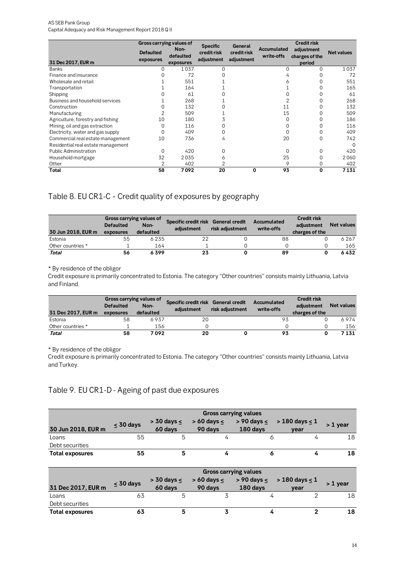#### AS SEB Pank Group

Capital Adequacy and Risk Management Report 2018 Q II

|                                    | Gross carrying values of      |                   | <b>Specific</b>           | General                   |                           | <b>Credit risk</b>           |            |
|------------------------------------|-------------------------------|-------------------|---------------------------|---------------------------|---------------------------|------------------------------|------------|
|                                    | <b>Defaulted</b><br>exposures | Non-<br>defaulted | credit risk<br>adjustment | credit risk<br>adjustment | Accumulated<br>write-offs | adjustment<br>charges of the | Net values |
| 31 Dec 2017, EUR m<br>Banks        | 0                             | exposures<br>1037 | 0                         |                           | 0                         | period<br>0                  | 1037       |
| Finance and insurance              |                               | 72                |                           |                           |                           |                              | 72         |
|                                    |                               |                   |                           |                           |                           |                              |            |
| Wholesale and retail               |                               | 551               |                           |                           |                           |                              | 551        |
| Transportation                     |                               | 164               |                           |                           |                           |                              | 165        |
| Shipping                           |                               | 61                |                           |                           |                           |                              | 61         |
| Business and household services    |                               | 268               |                           |                           |                           |                              | 268        |
| Construction                       |                               | 132               |                           |                           | 11                        |                              | 132        |
| Manufacturing                      |                               | 509               |                           |                           | 15                        |                              | 509        |
| Agriculture, forestry and fishing  | 10                            | 180               |                           |                           | $\Omega$                  |                              | 186        |
| Mining, oil and gas extraction     |                               | 116               |                           |                           |                           |                              | 116        |
| Electricity, water and gas supply  |                               | 409               |                           |                           |                           |                              | 409        |
| Commercial real estate management  | 10                            | 736               | 4                         |                           | 20                        | $\Omega$                     | 742        |
| Residential real estate management |                               |                   |                           |                           |                           |                              | $\Omega$   |
| <b>Public Administration</b>       | O                             | 420               | U                         |                           | ∩                         |                              | 420        |
| Household mortgage                 | 32                            | 2035              | 6                         |                           | 25                        | $\Omega$                     | 2060       |
| Other                              |                               | 402               |                           |                           | 9                         | 0                            | 402        |
| Total                              | 58                            | 7092              | 20                        | $\Omega$                  | 93                        | 0                            | 7131       |

## <span id="page-13-0"></span>Table 8. EU CR1-C - Credit quality of exposures by geography

| 30 Jun 2018, EUR m | Gross carrying values of<br><b>Defaulted</b><br>exposures | Non-<br>defaulted | Specific credit risk General credit<br>adiustment | risk adjustment | Accumulated<br>write-offs | <b>Credit risk</b><br>adiustment<br>charges of the | <b>Net values</b> |
|--------------------|-----------------------------------------------------------|-------------------|---------------------------------------------------|-----------------|---------------------------|----------------------------------------------------|-------------------|
| Estonia            | 55                                                        | 6235              | 22                                                |                 | 88                        |                                                    | 6267              |
| Other countries *  |                                                           | 164               |                                                   |                 |                           |                                                    | 165               |
| Total              | 56                                                        | 6399              | 23                                                |                 | 89                        |                                                    | 6432              |

\* By residence of the obligor

Credit exposure is primarily concentrated to Estonia. The category "Other countries" consists mainly Lithuania, Latvia and Finland.

|                    |                  | Gross carrying values of | Specific credit risk General credit |                 | Accumulated | <b>Credit risk</b> |                   |
|--------------------|------------------|--------------------------|-------------------------------------|-----------------|-------------|--------------------|-------------------|
|                    | <b>Defaulted</b> | Non-                     | adiustment                          | risk adiustment | write-offs  | adiustment         | <b>Net values</b> |
| 31 Dec 2017. EUR m | exposures        | defaulted                |                                     |                 |             | charges of the     |                   |
| Estonia            | 58               | 6937                     | 20                                  |                 | 93          |                    | 6974              |
| Other countries *  |                  | 156                      |                                     |                 |             |                    | 156               |
| Total              | 58               | 7 092                    | 20                                  |                 | 93          |                    | 7131              |

\* By residence of the obligor

Credit exposure is primarily concentrated to Estonia. The category "Other countries" consists mainly Lithuania, Latvia and Turkey.

### <span id="page-13-1"></span>Table 9. EU CR1-D - Ageing of past due exposures

|                        | <b>Gross carrying values</b> |                               |                               |          |                                                          |            |  |  |  |
|------------------------|------------------------------|-------------------------------|-------------------------------|----------|----------------------------------------------------------|------------|--|--|--|
| 30 Jun 2018, EUR m     | $\leq 30$ days               | $>$ 30 days $\leq$<br>60 days | $> 60$ days $\leq$<br>90 days | 180 days | $> 90 \text{ days} \leq 180 \text{ days} \leq 1$<br>vear | $> 1$ year |  |  |  |
| Loans                  | 55                           |                               |                               |          |                                                          |            |  |  |  |
| Debt securities        |                              |                               |                               |          |                                                          |            |  |  |  |
| <b>Total exposures</b> | 55                           |                               |                               |          |                                                          |            |  |  |  |

|                        | <b>Gross carrying values</b> |                               |                               |          |                                                          |            |  |  |  |  |
|------------------------|------------------------------|-------------------------------|-------------------------------|----------|----------------------------------------------------------|------------|--|--|--|--|
| 31 Dec 2017, EUR m     | $\leq 30$ days               | $>$ 30 days $\leq$<br>60 days | $> 60$ days $\leq$<br>90 days | 180 days | $> 90 \text{ days} \leq 180 \text{ days} \leq 1$<br>vear | $> 1$ vear |  |  |  |  |
| Loans                  |                              |                               |                               |          |                                                          | 18         |  |  |  |  |
| Debt securities        |                              |                               |                               |          |                                                          |            |  |  |  |  |
| <b>Total exposures</b> | 63                           |                               |                               |          |                                                          | 18         |  |  |  |  |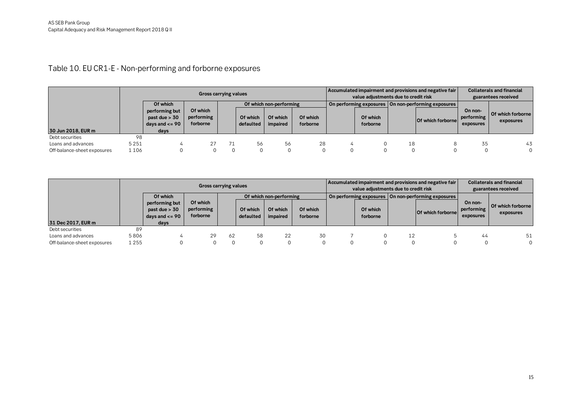## Table 10. EU CR1-E - Non-performing and forborne exposures

|                             | <b>Gross carrying values</b> |                                                                   |                                    |    |                       |                         | Accumulated impairment and provisions and negative fair<br>value adjustments due to credit risk |  |                      |          | <b>Collaterals and financial</b><br>guarantees received |                                    |                                |
|-----------------------------|------------------------------|-------------------------------------------------------------------|------------------------------------|----|-----------------------|-------------------------|-------------------------------------------------------------------------------------------------|--|----------------------|----------|---------------------------------------------------------|------------------------------------|--------------------------------|
|                             |                              | Of which                                                          |                                    |    |                       | Of which non-performing |                                                                                                 |  |                      |          | On performing exposures   On non-performing exposures   |                                    |                                |
| 30 Jun 2018, EUR m          |                              | performing but<br>past due $> 30$<br>days and $\leq$ = 90<br>days | Of which<br>performing<br>forborne |    | Of which<br>defaulted | Of which<br>impaired    | Of which<br>forborne                                                                            |  | Of which<br>forborne |          | <b>Of which forborne</b>                                | On non-<br>performing<br>exposures | Of which forborne<br>exposures |
| Debt securities             | 98                           |                                                                   |                                    |    |                       |                         |                                                                                                 |  |                      |          |                                                         |                                    |                                |
| Loans and advances          | 5 2 5 1                      | 4                                                                 | 27                                 | 71 | 56                    | 56                      | 28                                                                                              |  |                      | 18       |                                                         | 35                                 | 43                             |
| Off-balance-sheet exposures | 1 106                        | 0                                                                 | $\Omega$                           | 0  |                       |                         | 0                                                                                               |  |                      | $\Omega$ |                                                         |                                    | $\Omega$                       |

<span id="page-14-0"></span>

|                             | <b>Gross carrying values</b> |                                                           |                                    |    |                       |                         | Accumulated impairment and provisions and negative fair<br>value adjustments due to credit risk |  |                      |          | <b>Collaterals and financial</b><br>guarantees received |                                    |                                |
|-----------------------------|------------------------------|-----------------------------------------------------------|------------------------------------|----|-----------------------|-------------------------|-------------------------------------------------------------------------------------------------|--|----------------------|----------|---------------------------------------------------------|------------------------------------|--------------------------------|
|                             |                              | Of which                                                  |                                    |    |                       | Of which non-performing |                                                                                                 |  |                      |          | On performing exposures   On non-performing exposures   |                                    |                                |
|                             |                              | performing but<br>past due $> 30$<br>days and $\leq$ = 90 | Of which<br>performing<br>forborne |    | Of which<br>defaulted | Of which<br>impaired    | Of which<br>forborne                                                                            |  | Of which<br>forborne |          | <b>Of which forbornel</b>                               | On non-<br>performing<br>exposures | Of which forborne<br>exposures |
| 31 Dec 2017, EUR m          |                              | days                                                      |                                    |    |                       |                         |                                                                                                 |  |                      |          |                                                         |                                    |                                |
| Debt securities             | 89                           |                                                           |                                    |    |                       |                         |                                                                                                 |  |                      |          |                                                         |                                    |                                |
| Loans and advances          | 5806                         |                                                           | 29                                 | 62 | 58                    | 22                      | 30                                                                                              |  |                      | 12       |                                                         | 44                                 | 51                             |
| Off-balance-sheet exposures | 1 2 5 5                      | U                                                         |                                    |    |                       | 0                       |                                                                                                 |  |                      | $\Omega$ |                                                         |                                    | 0                              |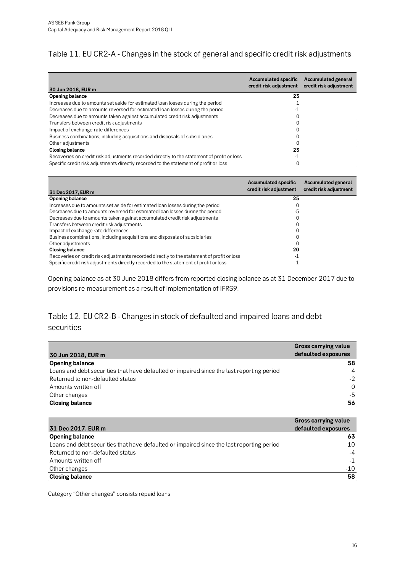## <span id="page-15-0"></span>Table 11. EU CR2-A - Changes in the stock of general and specific credit risk adjustments

| 30 Jun 2018, EUR m                                                                         | <b>Accumulated specific</b><br>credit risk adjustment | <b>Accumulated general</b><br>credit risk adjustment |
|--------------------------------------------------------------------------------------------|-------------------------------------------------------|------------------------------------------------------|
| Opening balance                                                                            | 23                                                    |                                                      |
| Increases due to amounts set aside for estimated loan losses during the period             |                                                       |                                                      |
| Decreases due to amounts reversed for estimated loan losses during the period              | -1                                                    |                                                      |
| Decreases due to amounts taken against accumulated credit risk adjustments                 |                                                       |                                                      |
| Transfers between credit risk adjustments                                                  |                                                       |                                                      |
| Impact of exchange rate differences                                                        |                                                       |                                                      |
| Business combinations, including acquisitions and disposals of subsidiaries                |                                                       |                                                      |
| Other adjustments                                                                          |                                                       |                                                      |
| <b>Closing balance</b>                                                                     | 23                                                    |                                                      |
| Recoveries on credit risk adjustments recorded directly to the statement of profit or loss | -1                                                    |                                                      |
| Specific credit risk adjustments directly recorded to the statement of profit or loss      |                                                       |                                                      |

| 31 Dec 2017, EUR m                                                                         | <b>Accumulated specific</b><br>credit risk adjustment | <b>Accumulated general</b><br>credit risk adjustment |
|--------------------------------------------------------------------------------------------|-------------------------------------------------------|------------------------------------------------------|
| Opening balance                                                                            | 25                                                    |                                                      |
| Increases due to amounts set aside for estimated loan losses during the period             | 0                                                     |                                                      |
| Decreases due to amounts reversed for estimated loan losses during the period              | -5                                                    |                                                      |
| Decreases due to amounts taken against accumulated credit risk adjustments                 |                                                       |                                                      |
| Transfers between credit risk adjustments                                                  |                                                       |                                                      |
| Impact of exchange rate differences                                                        |                                                       |                                                      |
| Business combinations, including acquisitions and disposals of subsidiaries                |                                                       |                                                      |
| Other adjustments                                                                          |                                                       |                                                      |
| Closing balance                                                                            | 20                                                    |                                                      |
| Recoveries on credit risk adjustments recorded directly to the statement of profit or loss | - 1                                                   |                                                      |
| Specific credit risk adjustments directly recorded to the statement of profit or loss      |                                                       |                                                      |

Opening balance as at 30 June 2018 differs from reported closing balance as at 31 December 2017 due to provisions re-measurement as a result of implementation of IFRS9.

## <span id="page-15-1"></span>Table 12. EU CR2-B - Changes in stock of defaulted and impaired loans and debt securities

|                                                                                           | <b>Gross carrying value</b> |
|-------------------------------------------------------------------------------------------|-----------------------------|
| 30 Jun 2018, EUR m                                                                        | defaulted exposures         |
| <b>Opening balance</b>                                                                    | 58                          |
| Loans and debt securities that have defaulted or impaired since the last reporting period | 4                           |
| Returned to non-defaulted status                                                          | $-2$                        |
| Amounts written off                                                                       | $\Omega$                    |
| Other changes                                                                             | -5                          |
| <b>Closing balance</b>                                                                    | 56                          |

|                                                                                           | <b>Gross carrying value</b> |
|-------------------------------------------------------------------------------------------|-----------------------------|
| 31 Dec 2017, EUR m                                                                        | defaulted exposures         |
| <b>Opening balance</b>                                                                    | 63                          |
| Loans and debt securities that have defaulted or impaired since the last reporting period | 10                          |
| Returned to non-defaulted status                                                          | -4                          |
| Amounts written off                                                                       | $-1$                        |
| Other changes                                                                             | $-10$                       |
| <b>Closing balance</b>                                                                    | 58                          |

<span id="page-15-2"></span>Category "Other changes" consists repaid loans